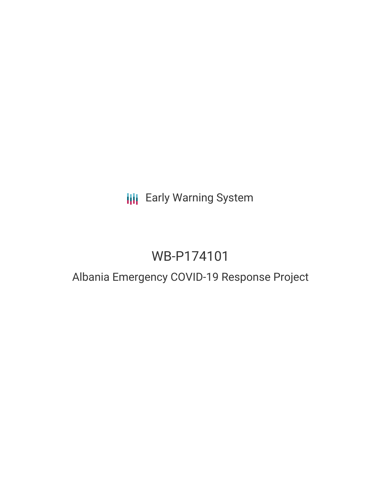## **III** Early Warning System

## WB-P174101

# Albania Emergency COVID-19 Response Project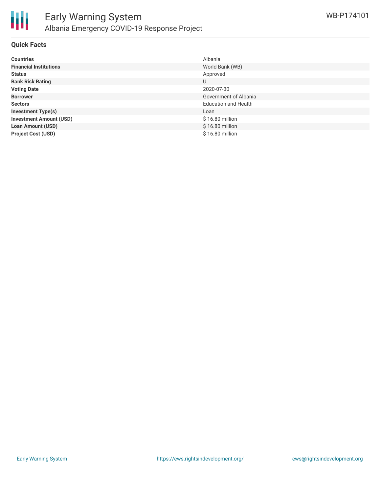

#### **Quick Facts**

| <b>Countries</b>               | Albania                     |
|--------------------------------|-----------------------------|
| <b>Financial Institutions</b>  | World Bank (WB)             |
| <b>Status</b>                  | Approved                    |
| <b>Bank Risk Rating</b>        | U                           |
| <b>Voting Date</b>             | 2020-07-30                  |
| <b>Borrower</b>                | Government of Albania       |
| <b>Sectors</b>                 | <b>Education and Health</b> |
| <b>Investment Type(s)</b>      | Loan                        |
| <b>Investment Amount (USD)</b> | $$16.80$ million            |
| <b>Loan Amount (USD)</b>       | $$16.80$ million            |
| <b>Project Cost (USD)</b>      | \$16.80 million             |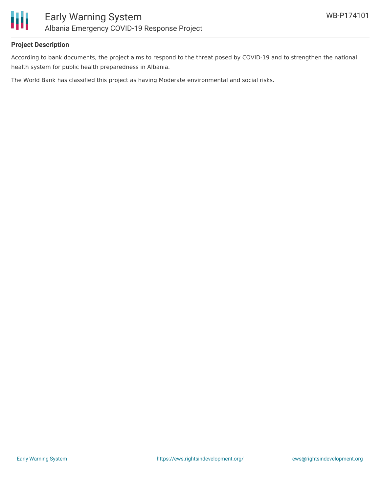

### **Project Description**

According to bank documents, the project aims to respond to the threat posed by COVID-19 and to strengthen the national health system for public health preparedness in Albania.

The World Bank has classified this project as having Moderate environmental and social risks.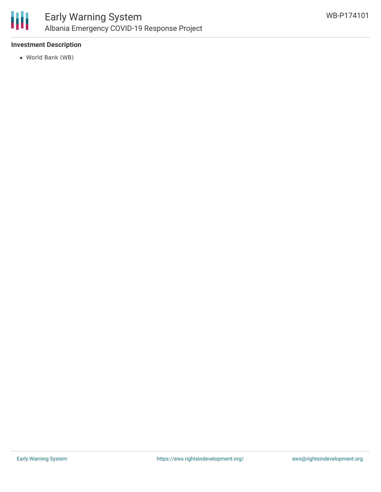

### **Investment Description**

World Bank (WB)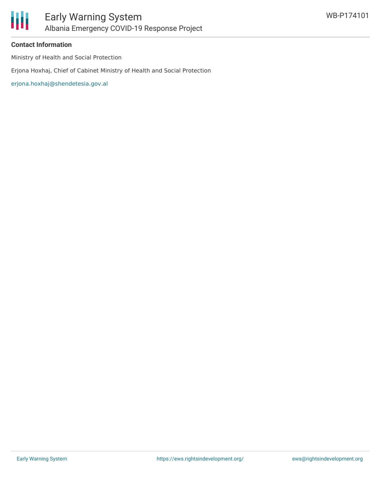

#### **Contact Information**

Ministry of Health and Social Protection

Erjona Hoxhaj, Chief of Cabinet Ministry of Health and Social Protection

[erjona.hoxhaj@shendetesia.gov.al](mailto:erjona.hoxhaj@shendetesia.gov.al)